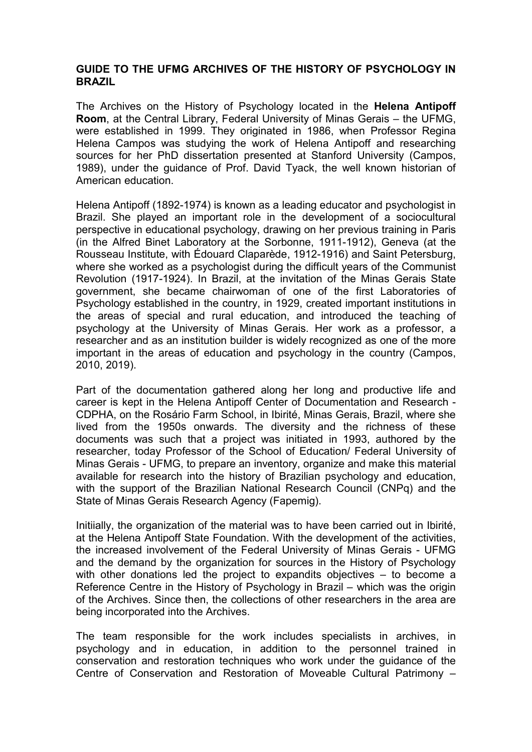### GUIDE TO THE UFMG ARCHIVES OF THE HISTORY OF PSYCHOLOGY IN BRAZIL

The Archives on the History of Psychology located in the Helena Antipoff Room, at the Central Library, Federal University of Minas Gerais – the UFMG, were established in 1999. They originated in 1986, when Professor Regina Helena Campos was studying the work of Helena Antipoff and researching sources for her PhD dissertation presented at Stanford University (Campos, 1989), under the guidance of Prof. David Tyack, the well known historian of American education.

Helena Antipoff (1892-1974) is known as a leading educator and psychologist in Brazil. She played an important role in the development of a sociocultural perspective in educational psychology, drawing on her previous training in Paris (in the Alfred Binet Laboratory at the Sorbonne, 1911-1912), Geneva (at the Rousseau Institute, with Édouard Claparède, 1912-1916) and Saint Petersburg, where she worked as a psychologist during the difficult years of the Communist Revolution (1917-1924). In Brazil, at the invitation of the Minas Gerais State government, she became chairwoman of one of the first Laboratories of Psychology established in the country, in 1929, created important institutions in the areas of special and rural education, and introduced the teaching of psychology at the University of Minas Gerais. Her work as a professor, a researcher and as an institution builder is widely recognized as one of the more important in the areas of education and psychology in the country (Campos, 2010, 2019).

Part of the documentation gathered along her long and productive life and career is kept in the Helena Antipoff Center of Documentation and Research - CDPHA, on the Rosário Farm School, in Ibirité, Minas Gerais, Brazil, where she lived from the 1950s onwards. The diversity and the richness of these documents was such that a project was initiated in 1993, authored by the researcher, today Professor of the School of Education/ Federal University of Minas Gerais - UFMG, to prepare an inventory, organize and make this material available for research into the history of Brazilian psychology and education, with the support of the Brazilian National Research Council (CNPq) and the State of Minas Gerais Research Agency (Fapemig).

Initiially, the organization of the material was to have been carried out in Ibirité, at the Helena Antipoff State Foundation. With the development of the activities, the increased involvement of the Federal University of Minas Gerais - UFMG and the demand by the organization for sources in the History of Psychology with other donations led the project to expandits objectives – to become a Reference Centre in the History of Psychology in Brazil – which was the origin of the Archives. Since then, the collections of other researchers in the area are being incorporated into the Archives.

The team responsible for the work includes specialists in archives, in psychology and in education, in addition to the personnel trained in conservation and restoration techniques who work under the guidance of the Centre of Conservation and Restoration of Moveable Cultural Patrimony –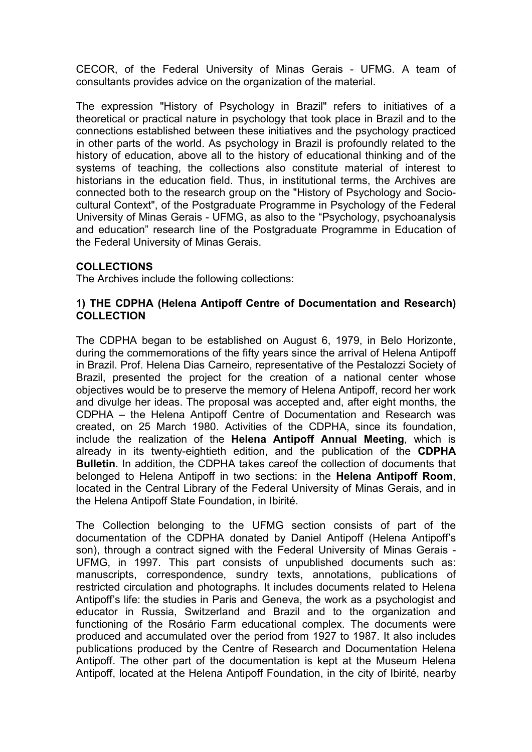CECOR, of the Federal University of Minas Gerais - UFMG. A team of consultants provides advice on the organization of the material.

The expression "History of Psychology in Brazil" refers to initiatives of a theoretical or practical nature in psychology that took place in Brazil and to the connections established between these initiatives and the psychology practiced in other parts of the world. As psychology in Brazil is profoundly related to the history of education, above all to the history of educational thinking and of the systems of teaching, the collections also constitute material of interest to historians in the education field. Thus, in institutional terms, the Archives are connected both to the research group on the "History of Psychology and Sociocultural Context", of the Postgraduate Programme in Psychology of the Federal University of Minas Gerais - UFMG, as also to the "Psychology, psychoanalysis and education" research line of the Postgraduate Programme in Education of the Federal University of Minas Gerais.

#### COLLECTIONS

The Archives include the following collections:

#### 1) THE CDPHA (Helena Antipoff Centre of Documentation and Research) **COLLECTION**

The CDPHA began to be established on August 6, 1979, in Belo Horizonte, during the commemorations of the fifty years since the arrival of Helena Antipoff in Brazil. Prof. Helena Dias Carneiro, representative of the Pestalozzi Society of Brazil, presented the project for the creation of a national center whose objectives would be to preserve the memory of Helena Antipoff, record her work and divulge her ideas. The proposal was accepted and, after eight months, the CDPHA – the Helena Antipoff Centre of Documentation and Research was created, on 25 March 1980. Activities of the CDPHA, since its foundation, include the realization of the Helena Antipoff Annual Meeting, which is already in its twenty-eightieth edition, and the publication of the CDPHA Bulletin. In addition, the CDPHA takes careof the collection of documents that belonged to Helena Antipoff in two sections: in the Helena Antipoff Room, located in the Central Library of the Federal University of Minas Gerais, and in the Helena Antipoff State Foundation, in Ibirité.

The Collection belonging to the UFMG section consists of part of the documentation of the CDPHA donated by Daniel Antipoff (Helena Antipoff's son), through a contract signed with the Federal University of Minas Gerais - UFMG, in 1997. This part consists of unpublished documents such as: manuscripts, correspondence, sundry texts, annotations, publications of restricted circulation and photographs. It includes documents related to Helena Antipoff's life: the studies in Paris and Geneva, the work as a psychologist and educator in Russia, Switzerland and Brazil and to the organization and functioning of the Rosário Farm educational complex. The documents were produced and accumulated over the period from 1927 to 1987. It also includes publications produced by the Centre of Research and Documentation Helena Antipoff. The other part of the documentation is kept at the Museum Helena Antipoff, located at the Helena Antipoff Foundation, in the city of Ibirité, nearby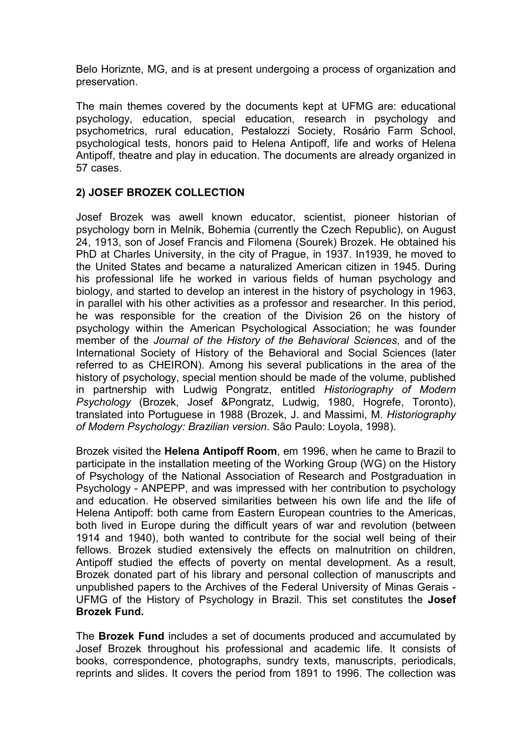Belo Horiznte, MG, and is at present undergoing a process of organization and preservation.

The main themes covered by the documents kept at UFMG are: educational psychology, education, special education, research in psychology and psychometrics, rural education, Pestalozzi Society, Rosário Farm School, psychological tests, honors paid to Helena Antipoff, life and works of Helena Antipoff, theatre and play in education. The documents are already organized in 57 cases.

## 2) JOSEF BROZEK COLLECTION

Josef Brozek was awell known educator, scientist, pioneer historian of psychology born in Melnik, Bohemia (currently the Czech Republic), on August 24, 1913, son of Josef Francis and Filomena (Sourek) Brozek. He obtained his PhD at Charles University, in the city of Prague, in 1937. In1939, he moved to the United States and became a naturalized American citizen in 1945. During his professional life he worked in various fields of human psychology and biology, and started to develop an interest in the history of psychology in 1963, in parallel with his other activities as a professor and researcher. In this period, he was responsible for the creation of the Division 26 on the history of psychology within the American Psychological Association; he was founder member of the Journal of the History of the Behavioral Sciences, and of the International Society of History of the Behavioral and Social Sciences (later referred to as CHEIRON). Among his several publications in the area of the history of psychology, special mention should be made of the volume, published in partnership with Ludwig Pongratz, entitled Historiography of Modern Psychology (Brozek, Josef &Pongratz, Ludwig, 1980, Hogrefe, Toronto), translated into Portuguese in 1988 (Brozek, J. and Massimi, M. Historiography of Modern Psychology: Brazilian version. São Paulo: Loyola, 1998).

Brozek visited the Helena Antipoff Room, em 1996, when he came to Brazil to participate in the installation meeting of the Working Group (WG) on the History of Psychology of the National Association of Research and Postgraduation in Psychology - ANPEPP, and was impressed with her contribution to psychology and education. He observed similarities between his own life and the life of Helena Antipoff: both came from Eastern European countries to the Americas, both lived in Europe during the difficult years of war and revolution (between 1914 and 1940), both wanted to contribute for the social well being of their fellows. Brozek studied extensively the effects on malnutrition on children, Antipoff studied the effects of poverty on mental development. As a result, Brozek donated part of his library and personal collection of manuscripts and unpublished papers to the Archives of the Federal University of Minas Gerais - UFMG of the History of Psychology in Brazil. This set constitutes the Josef Brozek Fund.

The Brozek Fund includes a set of documents produced and accumulated by Josef Brozek throughout his professional and academic life. It consists of books, correspondence, photographs, sundry texts, manuscripts, periodicals, reprints and slides. It covers the period from 1891 to 1996. The collection was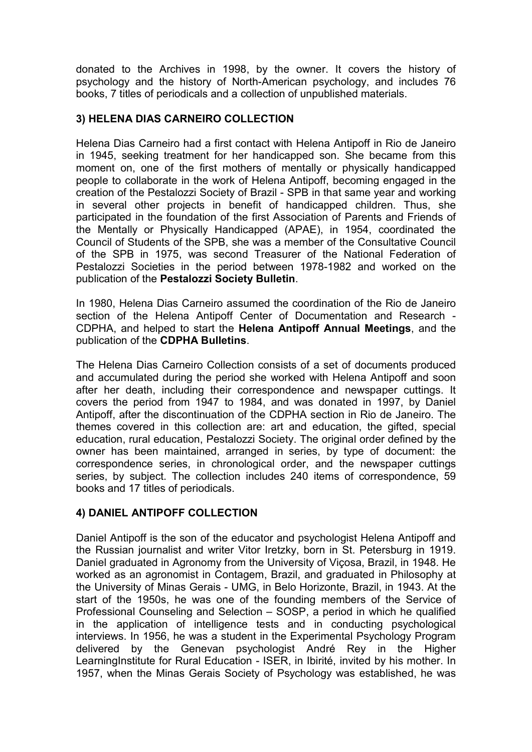donated to the Archives in 1998, by the owner. It covers the history of psychology and the history of North-American psychology, and includes 76 books, 7 titles of periodicals and a collection of unpublished materials.

## 3) HELENA DIAS CARNEIRO COLLECTION

Helena Dias Carneiro had a first contact with Helena Antipoff in Rio de Janeiro in 1945, seeking treatment for her handicapped son. She became from this moment on, one of the first mothers of mentally or physically handicapped people to collaborate in the work of Helena Antipoff, becoming engaged in the creation of the Pestalozzi Society of Brazil - SPB in that same year and working in several other projects in benefit of handicapped children. Thus, she participated in the foundation of the first Association of Parents and Friends of the Mentally or Physically Handicapped (APAE), in 1954, coordinated the Council of Students of the SPB, she was a member of the Consultative Council of the SPB in 1975, was second Treasurer of the National Federation of Pestalozzi Societies in the period between 1978-1982 and worked on the publication of the Pestalozzi Society Bulletin.

In 1980, Helena Dias Carneiro assumed the coordination of the Rio de Janeiro section of the Helena Antipoff Center of Documentation and Research - CDPHA, and helped to start the Helena Antipoff Annual Meetings, and the publication of the CDPHA Bulletins.

The Helena Dias Carneiro Collection consists of a set of documents produced and accumulated during the period she worked with Helena Antipoff and soon after her death, including their correspondence and newspaper cuttings. It covers the period from 1947 to 1984, and was donated in 1997, by Daniel Antipoff, after the discontinuation of the CDPHA section in Rio de Janeiro. The themes covered in this collection are: art and education, the gifted, special education, rural education, Pestalozzi Society. The original order defined by the owner has been maintained, arranged in series, by type of document: the correspondence series, in chronological order, and the newspaper cuttings series, by subject. The collection includes 240 items of correspondence, 59 books and 17 titles of periodicals.

# 4) DANIEL ANTIPOFF COLLECTION

Daniel Antipoff is the son of the educator and psychologist Helena Antipoff and the Russian journalist and writer Vitor Iretzky, born in St. Petersburg in 1919. Daniel graduated in Agronomy from the University of Viçosa, Brazil, in 1948. He worked as an agronomist in Contagem, Brazil, and graduated in Philosophy at the University of Minas Gerais - UMG, in Belo Horizonte, Brazil, in 1943. At the start of the 1950s, he was one of the founding members of the Service of Professional Counseling and Selection – SOSP, a period in which he qualified in the application of intelligence tests and in conducting psychological interviews. In 1956, he was a student in the Experimental Psychology Program delivered by the Genevan psychologist André Rey in the Higher Learning Institute for Rural Education - ISER, in Ibirité, invited by his mother. In 1957, when the Minas Gerais Society of Psychology was established, he was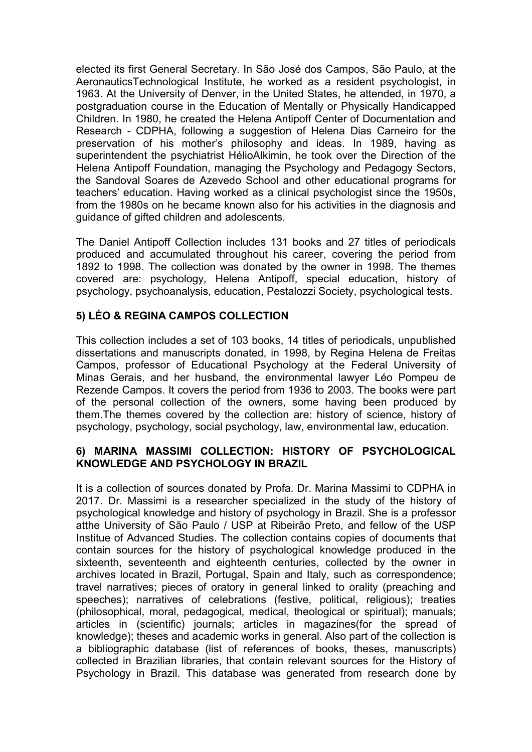elected its first General Secretary. In São José dos Campos, São Paulo, at the AeronauticsTechnological Institute, he worked as a resident psychologist, in 1963. At the University of Denver, in the United States, he attended, in 1970, a postgraduation course in the Education of Mentally or Physically Handicapped Children. In 1980, he created the Helena Antipoff Center of Documentation and Research - CDPHA, following a suggestion of Helena Dias Carneiro for the preservation of his mother's philosophy and ideas. In 1989, having as superintendent the psychiatrist HélioAlkimin, he took over the Direction of the Helena Antipoff Foundation, managing the Psychology and Pedagogy Sectors, the Sandoval Soares de Azevedo School and other educational programs for teachers' education. Having worked as a clinical psychologist since the 1950s, from the 1980s on he became known also for his activities in the diagnosis and guidance of gifted children and adolescents.

The Daniel Antipoff Collection includes 131 books and 27 titles of periodicals produced and accumulated throughout his career, covering the period from 1892 to 1998. The collection was donated by the owner in 1998. The themes covered are: psychology, Helena Antipoff, special education, history of psychology, psychoanalysis, education, Pestalozzi Society, psychological tests.

# 5) LÉO & REGINA CAMPOS COLLECTION

This collection includes a set of 103 books, 14 titles of periodicals, unpublished dissertations and manuscripts donated, in 1998, by Regina Helena de Freitas Campos, professor of Educational Psychology at the Federal University of Minas Gerais, and her husband, the environmental lawyer Léo Pompeu de Rezende Campos. It covers the period from 1936 to 2003. The books were part of the personal collection of the owners, some having been produced by them.The themes covered by the collection are: history of science, history of psychology, psychology, social psychology, law, environmental law, education.

#### 6) MARINA MASSIMI COLLECTION: HISTORY OF PSYCHOLOGICAL KNOWLEDGE AND PSYCHOLOGY IN BRAZIL

It is a collection of sources donated by Profa. Dr. Marina Massimi to CDPHA in 2017. Dr. Massimi is a researcher specialized in the study of the history of psychological knowledge and history of psychology in Brazil. She is a professor atthe University of São Paulo / USP at Ribeirão Preto, and fellow of the USP Institue of Advanced Studies. The collection contains copies of documents that contain sources for the history of psychological knowledge produced in the sixteenth, seventeenth and eighteenth centuries, collected by the owner in archives located in Brazil, Portugal, Spain and Italy, such as correspondence; travel narratives; pieces of oratory in general linked to orality (preaching and speeches); narratives of celebrations (festive, political, religious); treaties (philosophical, moral, pedagogical, medical, theological or spiritual); manuals; articles in (scientific) journals; articles in magazines(for the spread of knowledge); theses and academic works in general. Also part of the collection is a bibliographic database (list of references of books, theses, manuscripts) collected in Brazilian libraries, that contain relevant sources for the History of Psychology in Brazil. This database was generated from research done by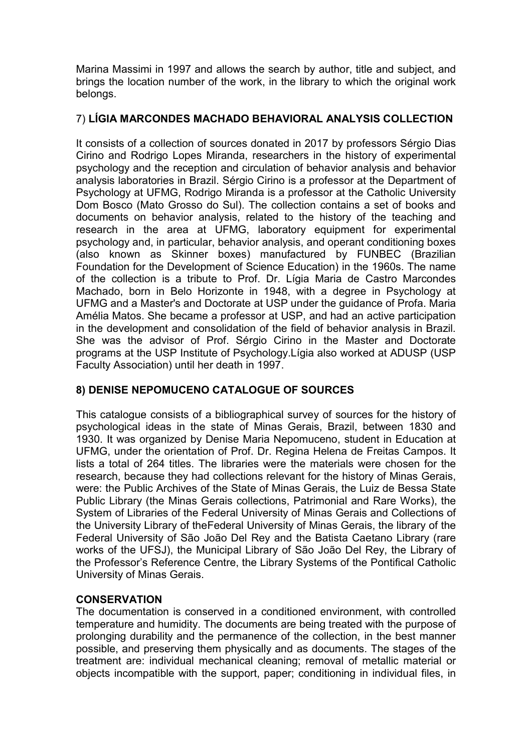Marina Massimi in 1997 and allows the search by author, title and subject, and brings the location number of the work, in the library to which the original work belongs.

# 7) LÍGIA MARCONDES MACHADO BEHAVIORAL ANALYSIS COLLECTION

It consists of a collection of sources donated in 2017 by professors Sérgio Dias Cirino and Rodrigo Lopes Miranda, researchers in the history of experimental psychology and the reception and circulation of behavior analysis and behavior analysis laboratories in Brazil. Sérgio Cirino is a professor at the Department of Psychology at UFMG, Rodrigo Miranda is a professor at the Catholic University Dom Bosco (Mato Grosso do Sul). The collection contains a set of books and documents on behavior analysis, related to the history of the teaching and research in the area at UFMG, laboratory equipment for experimental psychology and, in particular, behavior analysis, and operant conditioning boxes (also known as Skinner boxes) manufactured by FUNBEC (Brazilian Foundation for the Development of Science Education) in the 1960s. The name of the collection is a tribute to Prof. Dr. Lígia Maria de Castro Marcondes Machado, born in Belo Horizonte in 1948, with a degree in Psychology at UFMG and a Master's and Doctorate at USP under the guidance of Profa. Maria Amélia Matos. She became a professor at USP, and had an active participation in the development and consolidation of the field of behavior analysis in Brazil. She was the advisor of Prof. Sérgio Cirino in the Master and Doctorate programs at the USP Institute of Psychology.Lígia also worked at ADUSP (USP Faculty Association) until her death in 1997.

# 8) DENISE NEPOMUCENO CATALOGUE OF SOURCES

This catalogue consists of a bibliographical survey of sources for the history of psychological ideas in the state of Minas Gerais, Brazil, between 1830 and 1930. It was organized by Denise Maria Nepomuceno, student in Education at UFMG, under the orientation of Prof. Dr. Regina Helena de Freitas Campos. It lists a total of 264 titles. The libraries were the materials were chosen for the research, because they had collections relevant for the history of Minas Gerais, were: the Public Archives of the State of Minas Gerais, the Luiz de Bessa State Public Library (the Minas Gerais collections, Patrimonial and Rare Works), the System of Libraries of the Federal University of Minas Gerais and Collections of the University Library of theFederal University of Minas Gerais, the library of the Federal University of São João Del Rey and the Batista Caetano Library (rare works of the UFSJ), the Municipal Library of São João Del Rey, the Library of the Professor's Reference Centre, the Library Systems of the Pontifical Catholic University of Minas Gerais.

# **CONSERVATION**

The documentation is conserved in a conditioned environment, with controlled temperature and humidity. The documents are being treated with the purpose of prolonging durability and the permanence of the collection, in the best manner possible, and preserving them physically and as documents. The stages of the treatment are: individual mechanical cleaning; removal of metallic material or objects incompatible with the support, paper; conditioning in individual files, in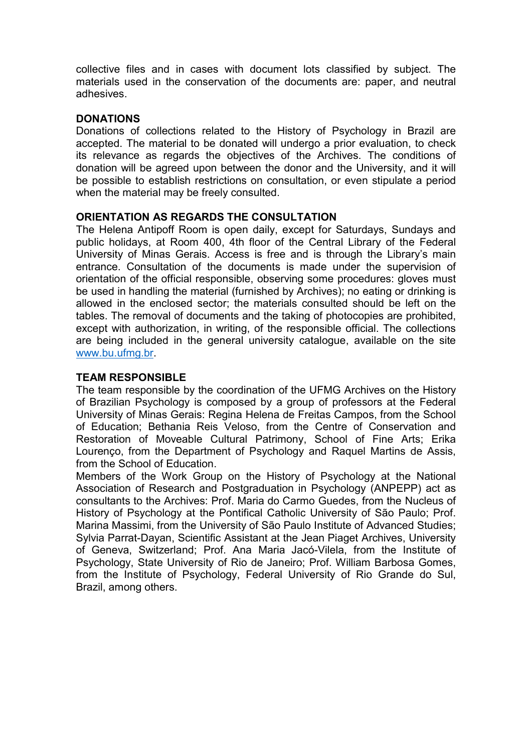collective files and in cases with document lots classified by subject. The materials used in the conservation of the documents are: paper, and neutral adhesives.

#### DONATIONS

Donations of collections related to the History of Psychology in Brazil are accepted. The material to be donated will undergo a prior evaluation, to check its relevance as regards the objectives of the Archives. The conditions of donation will be agreed upon between the donor and the University, and it will be possible to establish restrictions on consultation, or even stipulate a period when the material may be freely consulted.

#### ORIENTATION AS REGARDS THE CONSULTATION

The Helena Antipoff Room is open daily, except for Saturdays, Sundays and public holidays, at Room 400, 4th floor of the Central Library of the Federal University of Minas Gerais. Access is free and is through the Library's main entrance. Consultation of the documents is made under the supervision of orientation of the official responsible, observing some procedures: gloves must be used in handling the material (furnished by Archives); no eating or drinking is allowed in the enclosed sector; the materials consulted should be left on the tables. The removal of documents and the taking of photocopies are prohibited, except with authorization, in writing, of the responsible official. The collections are being included in the general university catalogue, available on the site www.bu.ufmg.br.

#### TEAM RESPONSIBLE

The team responsible by the coordination of the UFMG Archives on the History of Brazilian Psychology is composed by a group of professors at the Federal University of Minas Gerais: Regina Helena de Freitas Campos, from the School of Education; Bethania Reis Veloso, from the Centre of Conservation and Restoration of Moveable Cultural Patrimony, School of Fine Arts; Erika Lourenço, from the Department of Psychology and Raquel Martins de Assis, from the School of Education.

Members of the Work Group on the History of Psychology at the National Association of Research and Postgraduation in Psychology (ANPEPP) act as consultants to the Archives: Prof. Maria do Carmo Guedes, from the Nucleus of History of Psychology at the Pontifical Catholic University of São Paulo; Prof. Marina Massimi, from the University of São Paulo Institute of Advanced Studies; Sylvia Parrat-Dayan, Scientific Assistant at the Jean Piaget Archives, University of Geneva, Switzerland; Prof. Ana Maria Jacó-Vilela, from the Institute of Psychology, State University of Rio de Janeiro; Prof. William Barbosa Gomes, from the Institute of Psychology, Federal University of Rio Grande do Sul, Brazil, among others.